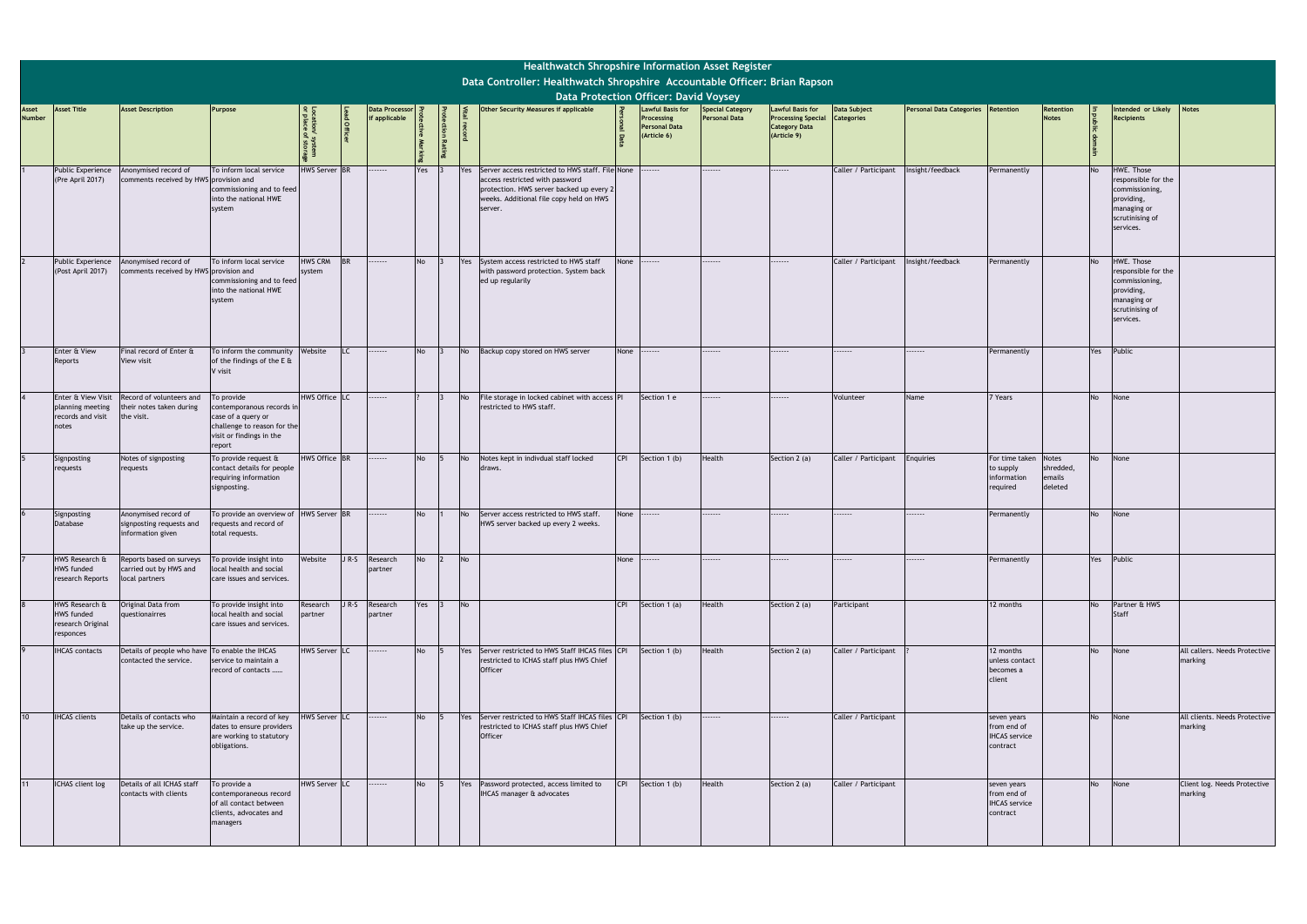|                        |                                                                       |                                                                          |                                                                                                                                    |                          |            |                                       |           |           | Healthwatch Shropshire Information Asset Register<br>Data Controller: Healthwatch Shropshire Accountable Officer: Brian Rapson                                                        |            |                                                                                                                              |                                                 |                                                                                             |                                   |                                    |                                                                |                                                |           |                                                                                                                         |                                          |
|------------------------|-----------------------------------------------------------------------|--------------------------------------------------------------------------|------------------------------------------------------------------------------------------------------------------------------------|--------------------------|------------|---------------------------------------|-----------|-----------|---------------------------------------------------------------------------------------------------------------------------------------------------------------------------------------|------------|------------------------------------------------------------------------------------------------------------------------------|-------------------------------------------------|---------------------------------------------------------------------------------------------|-----------------------------------|------------------------------------|----------------------------------------------------------------|------------------------------------------------|-----------|-------------------------------------------------------------------------------------------------------------------------|------------------------------------------|
| Asset<br><b>Number</b> | <b>Asset Title</b>                                                    | <b>Asset Description</b>                                                 | Purpose                                                                                                                            |                          | ad Officer | <b>Data Processor</b><br>f applicable |           |           | Other Security Measures if applicable                                                                                                                                                 |            | <b>Data Protection Officer: David Voysey</b><br><b>Lawful Basis for</b><br>Processing<br><b>Personal Data</b><br>(Article 6) | <b>Special Category</b><br><b>Personal Data</b> | <b>Lawful Basis for</b><br><b>Processing Special</b><br><b>Category Data</b><br>(Article 9) | Data Subject<br><b>Categories</b> | Personal Data Categories Retention |                                                                | Retention<br><b>Notes</b>                      |           | Intended or Likely<br>Recipients                                                                                        | <b>Notes</b>                             |
|                        | <b>Public Experience</b><br>(Pre April 2017)                          | Anonymised record of<br>comments received by HWS provision and           | To inform local service<br>commissioning and to feed<br>into the national HWE<br>system                                            | <b>HWS Server BR</b>     |            |                                       | Yes       | Yes       | Server access restricted to HWS staff. File None<br>access restricted with password<br>protection. HWS server backed up every 2<br>weeks. Additional file copy held on HWS<br>server. |            | .                                                                                                                            |                                                 | .                                                                                           | Caller / Participant              | Insight/feedback                   | Permanently                                                    |                                                | <b>No</b> | <b>HWE. Those</b><br>responsible for the<br>commissioning,<br>providing,<br>managing or<br>scrutinising of<br>services. |                                          |
|                        | <b>Public Experience</b><br>(Post April 2017)                         | Anonymised record of<br>comments received by HWS provision and           | To inform local service<br>commissioning and to feed<br>into the national HWE<br>system                                            | <b>HWS CRM</b><br>system |            | .                                     | <b>No</b> | Yes       | System access restricted to HWS staff<br>with password protection. System back<br>ed up regularily                                                                                    | None       | .                                                                                                                            |                                                 |                                                                                             | Caller / Participant              | Insight/feedback                   | Permanently                                                    |                                                | <b>No</b> | HWE. Those<br>responsible for the<br>commissioning,<br>providing,<br>managing or<br>scrutinising of<br>services.        |                                          |
|                        | Enter & View<br>Reports                                               | Final record of Enter &<br>View visit                                    | To inform the community<br>of the findings of the E &<br>V visit                                                                   | Website                  | LC.        | .                                     | <b>No</b> | <b>No</b> | Backup copy stored on HWS server                                                                                                                                                      | None       | .                                                                                                                            |                                                 | .                                                                                           | .                                 | .                                  | Permanently                                                    |                                                | Yes       | Public                                                                                                                  |                                          |
|                        | Enter & View Visit<br>planning meeting<br>records and visit<br>notes  | Record of volunteers and<br>their notes taken during<br>the visit.       | To provide<br>contemporanous records in<br>case of a query or<br>challenge to reason for the<br>visit or findings in the<br>report | HWS Office LC            |            | .                                     |           | <b>No</b> | File storage in locked cabinet with access PI<br>restricted to HWS staff.                                                                                                             |            | Section 1 e                                                                                                                  | .                                               | .                                                                                           | Volunteer                         | Name                               | 7 Years                                                        |                                                | <b>No</b> | None                                                                                                                    |                                          |
|                        | Signposting<br>requests                                               | Notes of signposting<br>requests                                         | To provide request &<br>contact details for people<br>requiring information<br>signposting.                                        | HWS Office BR            |            | .                                     | <b>No</b> | <b>No</b> | Notes kept in indivdual staff locked<br>draws.                                                                                                                                        | <b>CPI</b> | Section 1 (b)                                                                                                                | Health                                          | Section $2$ (a)                                                                             | Caller / Participant              | Enquiries                          | For time taken<br>to supply<br>information<br>required         | <b>Notes</b><br>shredded,<br>emails<br>deleted | <b>No</b> | None                                                                                                                    |                                          |
|                        | Signposting<br>Database                                               | Anonymised record of<br>signposting requests and<br>information given    | To provide an overview of<br>requests and record of<br>total requests.                                                             | HWS Server BR            |            | .                                     | <b>No</b> | <b>No</b> | Server access restricted to HWS staff.<br>HWS server backed up every 2 weeks.                                                                                                         | None       | .                                                                                                                            | .                                               | .                                                                                           | .                                 |                                    | Permanently                                                    |                                                | <b>No</b> | None                                                                                                                    |                                          |
|                        | HWS Research &<br><b>HWS funded</b><br>research Reports               | Reports based on surveys<br>carried out by HWS and<br>local partners     | To provide insight into<br>local health and social<br>care issues and services.                                                    | Website                  | $J R-S$    | Research<br>partner                   | <b>No</b> | No        |                                                                                                                                                                                       | None       | .                                                                                                                            | .                                               | -----                                                                                       | -----                             | .                                  | Permanently                                                    |                                                | Yes       | Public                                                                                                                  |                                          |
|                        | HWS Research &<br><b>HWS funded</b><br>research Original<br>responces | Original Data from<br>questionairres                                     | To provide insight into<br>local health and social<br>care issues and services.                                                    | Research<br>partner      | $J R-S$    | Research<br>partner                   | Yes       | No        |                                                                                                                                                                                       | <b>CPI</b> | Section 1 (a)                                                                                                                | Health                                          | Section 2 (a)                                                                               | Participant                       |                                    | 12 months                                                      |                                                | <b>No</b> | Partner & HWS<br>Staff                                                                                                  |                                          |
|                        | <b>IHCAS</b> contacts                                                 | Details of people who have To enable the IHCAS<br>contacted the service. | service to maintain a<br>record of contacts                                                                                        | HWS Server LC            |            | .                                     | <b>No</b> |           | Yes Server restricted to HWS Staff IHCAS files CPI<br>restricted to ICHAS staff plus HWS Chief<br>Officer                                                                             |            | Section 1 (b)                                                                                                                | Health                                          | Section 2 (a)                                                                               | Caller / Participant              |                                    | 12 months<br>unless contact<br>becomes a<br>client             |                                                |           | No None                                                                                                                 | All callers. Needs Protective<br>marking |
| 10                     | <b>IHCAS</b> clients                                                  | Details of contacts who<br>take up the service.                          | Maintain a record of key<br>dates to ensure providers<br>are working to statutory<br>obligations.                                  | <b>HWS Server LC</b>     |            | .                                     | <b>No</b> |           | Yes Server restricted to HWS Staff IHCAS files CPI<br>restricted to ICHAS staff plus HWS Chief<br><b>Officer</b>                                                                      |            | Section 1 (b)                                                                                                                | .                                               | .                                                                                           | Caller / Participant              |                                    | seven years<br>from end of<br><b>IHCAS</b> service<br>contract |                                                | <b>No</b> | None                                                                                                                    | All clients. Needs Protective<br>marking |
| 11                     | ICHAS client log                                                      | Details of all ICHAS staff<br>contacts with clients                      | To provide a<br>contemporaneous record<br>of all contact between<br>clients, advocates and<br>managers                             | HWS Server LC            |            | .                                     | <b>No</b> |           | Yes Password protected, access limited to<br><b>IHCAS</b> manager & advocates                                                                                                         |            | CPI Section 1 (b)                                                                                                            | Health                                          | Section 2 (a)                                                                               | Caller / Participant              |                                    | seven years<br>from end of<br><b>IHCAS</b> service<br>contract |                                                | <b>No</b> | None                                                                                                                    | Client log. Needs Protective<br>marking  |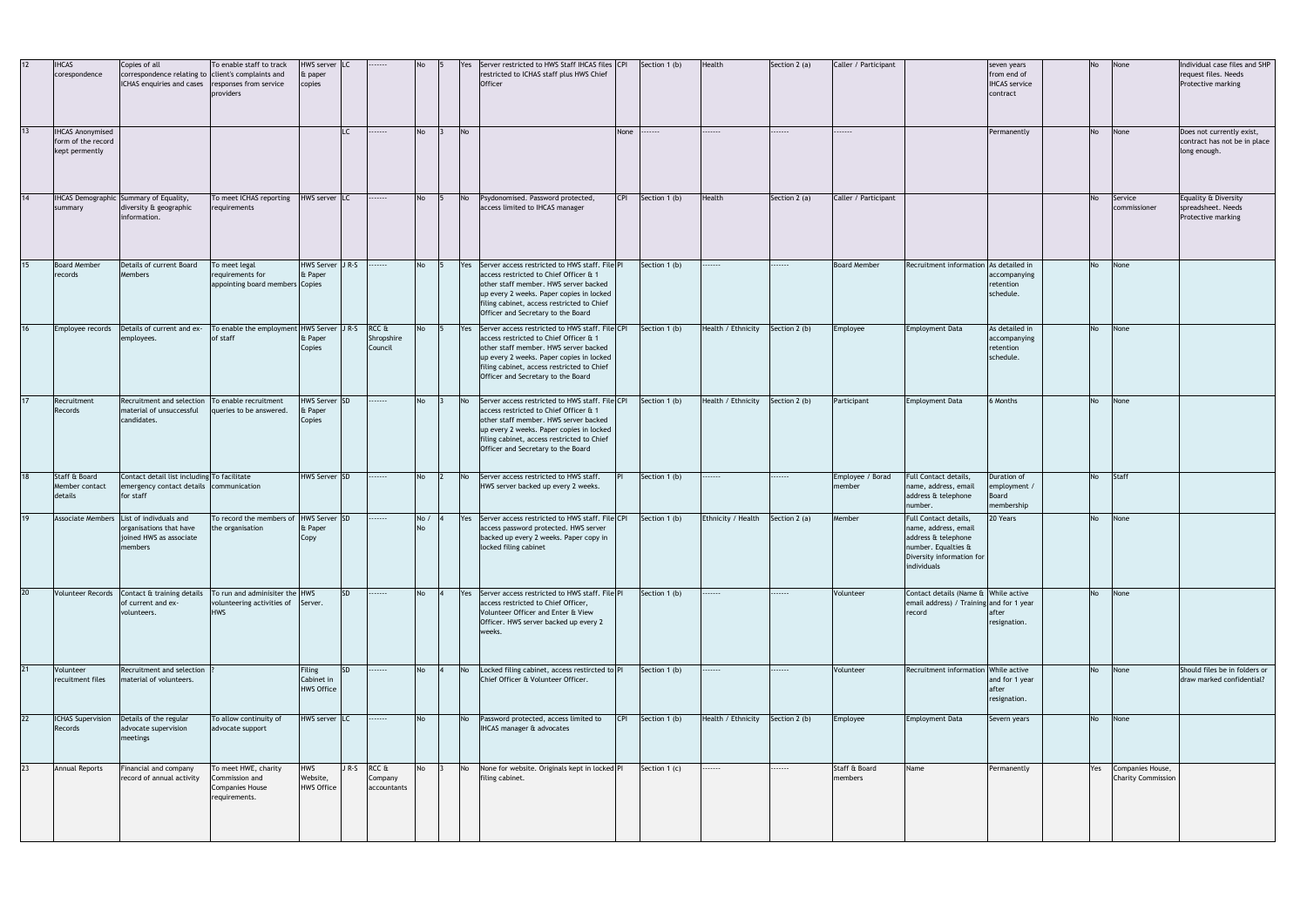| 12              | <b>IHCAS</b><br>corespondence                                   | Copies of all<br>correspondence relating to client's complaints and<br>ICHAS enquiries and cases          | To enable staff to track<br>responses from service<br>providers                    | HWS server LC<br>& paper<br>copies        |           | .                                    | <b>No</b>   |           | Server restricted to HWS Staff IHCAS files CPI<br>restricted to ICHAS staff plus HWS Chief<br><b>Officer</b>                                                                                                                                                          |      | Section 1 (b)     | Health             | Section 2 (a) | Caller / Participant       |                                                                                                                                         | seven years<br>from end of<br><b>IHCAS</b> service<br>contract | <b>No</b> | None                                              | Individual case files and SHP<br>request files. Needs<br>Protective marking |
|-----------------|-----------------------------------------------------------------|-----------------------------------------------------------------------------------------------------------|------------------------------------------------------------------------------------|-------------------------------------------|-----------|--------------------------------------|-------------|-----------|-----------------------------------------------------------------------------------------------------------------------------------------------------------------------------------------------------------------------------------------------------------------------|------|-------------------|--------------------|---------------|----------------------------|-----------------------------------------------------------------------------------------------------------------------------------------|----------------------------------------------------------------|-----------|---------------------------------------------------|-----------------------------------------------------------------------------|
| 13              | <b>IHCAS Anonymised</b><br>form of the record<br>kept permently |                                                                                                           |                                                                                    |                                           |           |                                      | <b>No</b>   | No        |                                                                                                                                                                                                                                                                       | None |                   | .                  | .             | .                          |                                                                                                                                         | Permanently                                                    | <b>No</b> | None                                              | Does not currently exist,<br>contract has not be in place<br>long enough.   |
| 14              | summary                                                         | <b>IHCAS Demographic Summary of Equality,</b><br>diversity & geographic<br>information.                   | To meet ICHAS reporting<br>requirements                                            | HWS server LC                             |           | .                                    | <b>No</b>   | No        | Psydonomised. Password protected,<br>access limited to IHCAS manager                                                                                                                                                                                                  |      | CPI Section 1 (b) | Health             | Section 2 (a) | Caller / Participant       |                                                                                                                                         |                                                                | <b>No</b> | Service<br>commissioner                           | Equality & Diversity<br>spreadsheet. Needs<br>Protective marking            |
| 15              | <b>Board Member</b><br>records                                  | Details of current Board<br><b>Members</b>                                                                | To meet legal<br>requirements for<br>appointing board members Copies               | HWS Server J R-S<br>& Paper               |           | .                                    | <b>No</b>   |           | Yes Server access restricted to HWS staff. File PI<br>access restricted to Chief Officer & 1<br>other staff member. HWS server backed<br>up every 2 weeks. Paper copies in locked<br>filing cabinet, access restricted to Chief<br>Officer and Secretary to the Board |      | Section 1 (b)     |                    | ------        | <b>Board Member</b>        | Recruitment information As detailed in                                                                                                  | accompanying<br>retention<br>schedule.                         | <b>No</b> | None                                              |                                                                             |
| 16              | Employee records                                                | Details of current and ex-<br>employees.                                                                  | To enable the employment HWS Server J R-S<br>of staff                              | & Paper<br>Copies                         |           | RCC &<br>Shropshire<br>Council       | <b>No</b>   | Yes       | Server access restricted to HWS staff. File CPI<br>access restricted to Chief Officer & 1<br>other staff member. HWS server backed<br>up every 2 weeks. Paper copies in locked<br>filing cabinet, access restricted to Chief<br>Officer and Secretary to the Board    |      | Section 1 (b)     | Health / Ethnicity | Section 2 (b) | Employee                   | Employment Data                                                                                                                         | As detailed in<br>accompanying<br>retention<br>schedule.       | <b>No</b> | None                                              |                                                                             |
| 17              | Recruitment<br>Records                                          | Recruitment and selection<br>material of unsuccessful<br>candidates.                                      | To enable recruitment<br>queries to be answered.                                   | HWS Server SD<br>& Paper<br>Copies        |           | .                                    | <b>No</b>   | <b>No</b> | Server access restricted to HWS staff. File CPI<br>access restricted to Chief Officer & 1<br>other staff member. HWS server backed<br>up every 2 weeks. Paper copies in locked<br>filing cabinet, access restricted to Chief<br>Officer and Secretary to the Board    |      | Section 1 (b)     | Health / Ethnicity | Section 2 (b) | Participant                | Employment Data                                                                                                                         | 6 Months                                                       | No        | None                                              |                                                                             |
| 18              | Staff & Board<br>Member contact<br>details                      | Contact detail list including To facilitate<br>emergency contact details communication<br>for staff       |                                                                                    | HWS Server SD                             |           |                                      | <b>No</b>   | <b>No</b> | Server access restricted to HWS staff.<br>HWS server backed up every 2 weeks.                                                                                                                                                                                         |      | Section 1 (b)     |                    |               | Employee / Borad<br>member | Full Contact details,<br>name, address, email<br>address & telephone<br>number.                                                         | Duration of<br>employment /<br>Board<br>membership             | No        | Staff                                             |                                                                             |
| 19              |                                                                 | Associate Members List of indivduals and<br>organisations that have<br>joined HWS as associate<br>members | To record the members of HWS Server SD<br>the organisation                         | & Paper<br>Copy                           |           |                                      | No /<br>No. | Yes       | Server access restricted to HWS staff. File CPI<br>access password protected. HWS server<br>backed up every 2 weeks. Paper copy in<br>locked filing cabinet                                                                                                           |      | Section 1 (b)     | Ethnicity / Health | Section 2 (a) | Member                     | Full Contact details,<br>name, address, email<br>address & telephone<br>number. Equalties &<br>Diversity information for<br>individuals | 20 Years                                                       | No        | None                                              |                                                                             |
| 20 <sup>1</sup> |                                                                 | Volunteer Records Contact & training details<br>of current and ex-<br>volunteers.                         | To run and adminisiter the HWS<br>volunteering activities of Server.<br><b>HWS</b> |                                           | <b>SD</b> | <b></b>                              | <b>No</b>   |           | Yes Server access restricted to HWS staff. File PI<br>access restricted to Chief Officer,<br>Volunteer Officer and Enter & View<br>Officer. HWS server backed up every 2<br>weeks.                                                                                    |      | Section 1 (b)     | ------             |               | Volunteer                  | Contact details (Name & While active<br>email address) / Training and for 1 year<br>record                                              | resignation.                                                   |           | No None                                           |                                                                             |
| 21              | Volunteer<br>recuitment files                                   | Recruitment and selection<br>material of volunteers.                                                      |                                                                                    | Filing<br>Cabinet in<br><b>HWS Office</b> | <b>SD</b> |                                      | <b>No</b>   | No        | Locked filing cabinet, access restircted to PI<br>Chief Officer & Volunteer Officer.                                                                                                                                                                                  |      | Section 1 (b)     |                    | .             | Volunteer                  | Recruitment information While active                                                                                                    | and for 1 year<br>after<br>resignation.                        | <b>No</b> | None                                              | Should files be in folders or<br>draw marked confidential?                  |
| 22              | Records                                                         | ICHAS Supervision Details of the regular<br>advocate supervision<br>meetings                              | To allow continuity of<br>advocate support                                         | HWS server LC                             |           | .                                    | No          | No        | Password protected, access limited to<br>IHCAS manager & advocates                                                                                                                                                                                                    |      | CPI Section 1 (b) | Health / Ethnicity | Section 2 (b) | Employee                   | <b>Employment Data</b>                                                                                                                  | Severn years                                                   | <b>No</b> | None                                              |                                                                             |
| 23              | <b>Annual Reports</b>                                           | Financial and company<br>record of annual activity                                                        | To meet HWE, charity<br>Commission and<br>Companies House<br>requirements.         | HWS<br>Website,<br><b>HWS Office</b>      |           | JR-S RCC &<br>Company<br>accountants | No          | <b>No</b> | None for website. Originals kept in locked PI<br>filing cabinet.                                                                                                                                                                                                      |      | Section 1 (c)     |                    | .             | Staff & Board<br>members   | Name                                                                                                                                    | Permanently                                                    |           | Yes Companies House,<br><b>Charity Commission</b> |                                                                             |